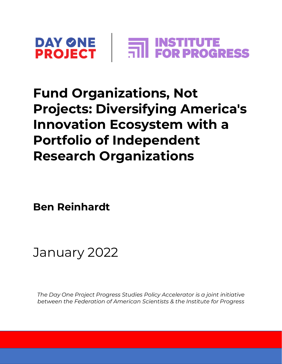

### **Fund Organizations, Not Projects: Diversifying America's Innovation Ecosystem with a Portfolio of Independent Research Organizations**

**Ben Reinhardt**



*The Day One Project Progress Studies Policy Accelerator is a joint initiative between the Federation of American Scientists & the Institute for Progress*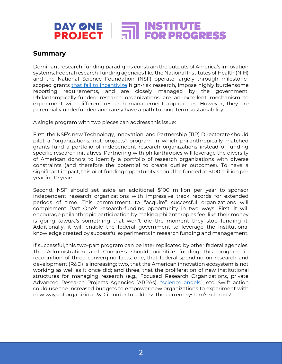### **Summary**

Dominant research-funding paradigms constrain the outputs of America's innovation systems. Federal research-funding agencies like the National Institutes of Health (NIH) and the National Science Foundation (NSF) operate largely through milestonescoped grants [that fail to incentivize](https://academic.oup.com/rev/article-abstract/22/3/187/1523526?redirectedFrom=fulltext) high-risk research, impose highly burdensome reporting requirements, and are closely managed by the government. Philanthropically-funded research organizations are an excellent mechanism to experiment with different research management approaches. However, they are perennially underfunded and rarely have a path to long-term sustainability.

A single program with two pieces can address this issue:

First, the NSF's new Technology, Innovation, and Partnership (TIP) Directorate should pilot a "organizations, not projects" program in which philanthropically matched grants fund a portfolio of independent research organizations instead of funding specific research initiatives. Partnering with philanthropies will leverage the diversity of American donors to identify a portfolio of research organizations with diverse constraints (and therefore the potential to create outlier outcomes). To have a significant impact, this pilot funding opportunity should be funded at \$100 million per year for 10 years.

Second, NSF should set aside an additional \$100 million per year to sponsor independent research organizations with impressive track records for extended periods of time. This commitment to "acquire" successful organizations will complement Part One's research-funding opportunity in two ways. First, it will encourage philanthropic participation by making philanthropies feel like their money is going *towards* something that won't die the moment they stop funding it. Additionally, it will enable the federal government to leverage the institutional knowledge created by successful experiments in research funding and management.

If successful, this two-part program can be later replicated by other federal agencies. The Administration and Congress should prioritize funding this program in recognition of three converging facts: one, that federal spending on research and development (R&D) is increasing; two, that the American innovation ecosystem is not working as well as it once did; and three, that the proliferation of new institutional structures for managing research (e.g., Focused Research Organizations, private Advanced Research Projects Agencies (ARPAs), ["science angels"](https://www.scibetter.com/angels), etc. Swift action could use the increased budgets to empower new organizations to experiment with new ways of organizing R&D in order to address the current system's sclerosis!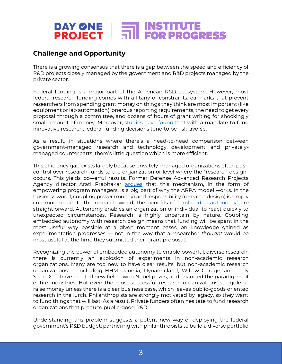### **Challenge and Opportunity**

There is a growing consensus that there is a gap between the speed and efficiency of R&D projects closely managed by the government and R&D projects managed by the private sector.

Federal funding is a major part of the American R&D ecosystem. However, most federal research funding comes with a litany of constraints: earmarks that prevent researchers from spending grant money on things they think are most important (like equipment or lab automation), onerous reporting requirements, the need to get every proposal through a committee, and dozens of hours of grant writing for shockingly small amount of money. Moreover, [studies have found](https://academic.oup.com/rev/article-abstract/22/3/187/1523526?redirectedFrom=fulltext) that with a mandate to fund innovative research, federal funding decisions tend to be risk-averse.

As a result, in situations where there's a head-to-head comparison between government-managed research and technology development and privatelymanaged counterparts, there's little question which is more efficient.

This efficiency gap exists largely because privately-managed organizations often push control over research funds to the organization or level where the "research design" occurs. This yields powerful results. Former Defense Advanced Research Projects Agency director Arati Prabhakar [argues](https://www.dayoneproject.org/post/how-to-unlock-the-potential-of-the-advanced-research-projects-agency-model) that this mechanism, in the form of empowering program managers, is a big part of why the ARPA model works. In the business world, coupling power (money) and responsibility (research design) is simply common sense. In the research world, the benefits of ["embedded autonomy"](https://9381c384-0c59-41d7-bbdf-62bbf54449a6.filesusr.com/ugd/14d834_851dd65d4f54495f91c6cdcbaef7948c.pdf) are straightforward. Autonomy enables an organization or individual to react quickly to unexpected circumstances. Research is highly uncertain by nature. Coupling embedded autonomy with research design means that funding will be spent in the most useful way possible at a given moment based on knowledge gained as experimentation progresses — not in the way that a researcher *thought* would be most useful at the time they submitted their grant proposal.

Recognizing the power of embedded autonomy to enable powerful, diverse research, there is currently an explosion of experiments in non-academic research organizations. Many are too new to have clear results, but non-academic research organizations — including HHMI Janelia, Dynamicland, Willow Garage, and early SpaceX — have created new fields, won Nobel prizes, and changed the paradigms of entire industries. But even the most successful research organizations struggle to raise money unless there is a clear business case, which leaves public-goods oriented research in the lurch. Philanthropists are strongly motivated by legacy, so they want to fund things that will last. As a result, Private funders often hesitate to fund research organizations that produce public-good R&D.

Understanding this problem suggests a potent new way of deploying the federal government's R&D budget: partnering with philanthropists to build a diverse portfolio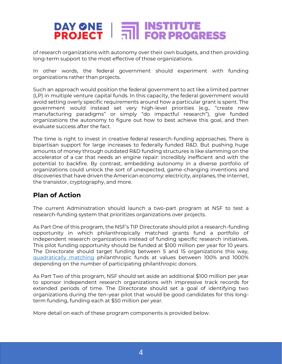of research organizations with autonomy over their own budgets, and then providing long-term support to the most effective of those organizations.

In other words, the federal government should experiment with funding organizations rather than projects.

Such an approach would position the federal government to act like a limited partner (LP) in multiple venture capital funds. In this capacity, the federal government would avoid setting overly specific requirements around how a particular grant is spent. The government would instead set very high-level priorities (e.g., "create new manufacturing paradigms" or simply "do impactful research"), give funded organizations the autonomy to figure out how to best achieve this goal, and then evaluate success after the fact.

The time is right to invest in creative federal research-funding approaches. There is bipartisan support for large increases to federally funded R&D. But pushing huge amounts of money through outdated R&D funding structures is like slamming on the accelerator of a car that needs an engine repair: incredibly inefficient and with the potential to backfire. By contrast, embedding autonomy in a diverse portfolio of organizations could unlock the sort of unexpected, game-changing inventions and discoveries that have driven the American economy: electricity, airplanes, the internet, the transistor, cryptography, and more.

### **Plan of Action**

The current Administration should launch a two-part program at NSF to test a research-funding system that prioritizes organizations over projects.

As Part One of this program, the NSF's TIP Directorate should pilot a research-funding opportunity in which philanthropically matched grants fund a portfolio of independent research organizations instead of funding specific research initiatives. This pilot funding opportunity should be funded at \$100 million per year for 10 years. The Directorate should target funding between 5 and 15 organizations this way, [quadratically matching](https://www.radicalxchange.org/concepts/quadratic-funding/) philanthropic funds at values between 100% and 1000% depending on the number of participating philanthropic donors.

As Part Two of this program, NSF should set aside an additional \$100 million per year to sponsor independent research organizations with impressive track records for extended periods of time. The Directorate should set a goal of identifying two organizations during the ten-year pilot that would be good candidates for this longterm funding, funding each at \$50 million per year.

More detail on each of these program components is provided below.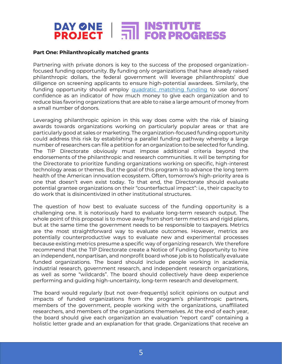#### **Part One: Philanthropically matched grants**

Partnering with private donors is key to the success of the proposed organizationfocused funding opportunity. By funding only organizations that have already raised philanthropic dollars, the federal government will leverage philanthropists' due diligence on screening applicants to ensure high-potential awardees. Similarly, the funding opportunity should employ [quadratic matching funding](https://www.radicalxchange.org/concepts/quadratic-funding/) to use donors' confidence as an indicator of how much money to give each organization and to reduce bias favoring organizations that are able to raise a large amount of money from a small number of donors.

Leveraging philanthropic opinion in this way does come with the risk of biasing awards towards organizations working on particularly popular areas or that are particularly good at sales or marketing. The organization-focused funding opportunity could address this risk by establishing a parallel funding pathway whereby a large number of researchers can file a petition for an organization to be selected for funding. The TIP Directorate obviously must impose additional criteria beyond the endorsements of the philanthropic and research communities. It will be tempting for the Directorate to prioritize funding organizations working on specific, high-interest technology areas or themes. But the goal of this program is to advance the long term health of the American innovation ecosystem. Often, tomorrow's high-priority area is one that doesn't even exist today. To that end, the Directorate should evaluate potential grantee organizations on their "counterfactual impact": i.e., their capacity to do work that is disincentivized in other institutional structures.

The question of how best to evaluate success of the funding opportunity is a challenging one. It is notoriously hard to evaluate long-term research output. The whole point of this proposal is to move away from short-term metrics and rigid plans, but at the same time the government needs to be responsible to taxpayers. Metrics are the most straightforward way to evaluate outcomes. However, metrics are potentially counterproductive ways to evaluate new and experimental processes because existing metrics presume a specific way of organizing research. We therefore recommend that the TIP Directorate create a Notice of Funding Opportunity to hire an independent, nonpartisan, and nonprofit board whose job is to holistically evaluate funded organizations. The board should include people working in academia, industrial research, government research, and independent research organizations, as well as some "wildcards". The board should collectively have deep experience performing and guiding high-uncertainty, long-term research and development.

The board would regularly (but not over-frequently) solicit opinions on output and impacts of funded organizations from the program's philanthropic partners, members of the government, people working with the organizations, unaffiliated researchers, and members of the organizations themselves. At the end of each year, the board should give each organization an evaluation "report card" containing a holistic letter grade and an explanation for that grade. Organizations that receive an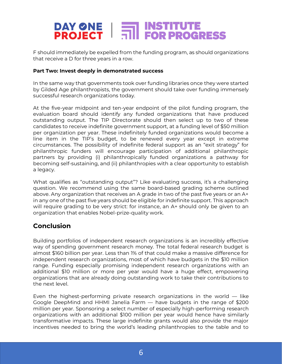F should immediately be expelled from the funding program, as should organizations that receive a D for three years in a row.

#### **Part Two: Invest deeply in demonstrated success**

In the same way that governments took over funding libraries once they were started by Gilded Age philanthropists, the government should take over funding immensely successful research organizations today.

At the five-year midpoint and ten-year endpoint of the pilot funding program, the evaluation board should identify any funded organizations that have produced outstanding output. The TIP Directorate should then select up to two of these candidates to receive indefinite government support, at a funding level of \$50 million per organization per year. These indefinitely funded organizations would become a line item in the TIP's budget, to be renewed every year except in extreme circumstances. The possibility of indefinite federal support as an "exit strategy" for philanthropic funders will encourage participation of additional philanthropic partners by providing (i) philanthropically funded organizations a pathway for becoming self-sustaining, and (ii) philanthropies with a clear opportunity to establish a legacy.

What qualifies as "outstanding output"? Like evaluating success, it's a challenging question. We recommend using the same board-based grading scheme outlined above. Any organization that receives an A grade in two of the past five years or an A+ in any one of the past five years should be eligible for indefinite support. This approach will require grading to be very strict: for instance, an A+ should only be given to an organization that enables Nobel-prize-quality work.

### **Conclusion**

Building portfolios of independent research organizations is an incredibly effective way of spending government research money. The total federal research budget is almost \$160 billion per year. Less than 1% of that could make a massive difference for independent research organizations, most of which have budgets in the \$10 million range. Funding especially promising independent research organizations with an additional \$10 million or more per year would have a huge effect, empowering organizations that are already doing outstanding work to take their contributions to the next level.

Even the highest-performing private research organizations in the world — like Google DeepMind and HHMI Janelia Farm — have budgets in the range of \$200 million per year. Sponsoring a select number of especially high-performing research organizations with an additional \$100 million per year would hence have similarly transformative impacts. These large indefinite grants would also provide the major incentives needed to bring the world's leading philanthropies to the table and to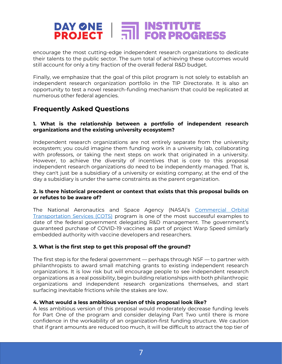encourage the most cutting-edge independent research organizations to dedicate their talents to the public sector. The sum total of achieving these outcomes would still account for only a tiny fraction of the overall federal R&D budget.

Finally, we emphasize that the goal of this pilot program is not solely to establish an independent research organization portfolio in the TIP Directorate. It is also an opportunity to test a novel research-funding mechanism that could be replicated at numerous other federal agencies.

### **Frequently Asked Questions**

#### **1. What is the relationship between a portfolio of independent research organizations and the existing university ecosystem?**

Independent research organizations are not entirely separate from the university ecosystem; you could imagine them funding work in a university lab, collaborating with professors, or taking the next steps on work that originated in a university. However, to achieve the diversity of incentives that is core to this proposal independent research organizations do need to be independently managed. That is, they can't just be a subsidiary of a university or existing company; at the end of the day a subsidiary is under the same constraints as the parent organization.

#### **2. Is there historical precedent or context that exists that this proposal builds on or refutes to be aware of?**

The National Aeronautics and Space Agency (NASA)'s [Commercial Orbital](https://www.nasa.gov/commercial-orbital-transportation-services-cots/)  [Transportation Services \(COTS\)](https://www.nasa.gov/commercial-orbital-transportation-services-cots/) program is one of the most successful examples to date of the federal government delegating R&D management. The government's guaranteed purchase of COVID-19 vaccines as part of project Warp Speed similarly embedded authority with vaccine developers and researchers.

#### **3. What is the first step to get this proposal off the ground?**

The first step is for the federal government — perhaps through NSF — to partner with philanthropists to award small matching grants to existing independent research organizations. It is low risk but will encourage people to see independent research organizations as a real possibility, begin building relationships with both philanthropic organizations and independent research organizations themselves, and start surfacing inevitable frictions while the stakes are low.

#### **4. What would a less ambitious version of this proposal look like?**

A less ambitious version of this proposal would moderately decrease funding levels for Part One of the program and consider delaying Part Two until there is more confidence in the workability of an organization-first funding structure. We caution that if grant amounts are reduced too much, it will be difficult to attract the top tier of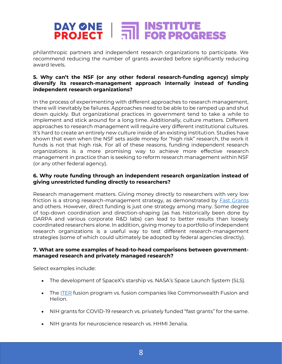philanthropic partners and independent research organizations to participate. We recommend reducing the number of grants awarded before significantly reducing award levels.

#### **5. Why can't the NSF (or any other federal research-funding agency) simply diversify its research-management approach internally instead of funding independent research organizations?**

In the process of experimenting with different approaches to research management, there will inevitably be failures. Approaches need to be able to be ramped up and shut down quickly. But organizational practices in government tend to take a while to implement and stick around for a long time. Additionally, culture matters. Different approaches to research management will require very different institutional cultures. It's hard to create an entirely new culture inside of an existing institution. Studies have shown that even when the NSF sets aside money for "high risk" research, the work it funds is not that high risk. For all of these reasons, funding independent research organizations is a more promising way to achieve more effective research management in practice than is seeking to reform research management within NSF (or any other federal agency).

#### **6. Why route funding through an independent research organization instead of giving unrestricted funding directly to researchers?**

Research management matters. Giving money directly to researchers with very low friction is a strong research-management strategy, as demonstrated by **Fast Grants** and others. However, direct funding is just one strategy among many. Some degree of top-down coordination and direction-shaping (as has historically been done by DARPA and various corporate R&D labs) can lead to better results than loosely coordinated researchers alone. In addition, giving money to a portfolio of independent research organizations is a useful way to test different research-management strategies (some of which could ultimately be adopted by federal agencies directly).

#### **7. What are some examples of head-to-head comparisons between governmentmanaged research and privately managed research?**

Select examples include:

- The development of SpaceX's starship vs. NASA's Space Launch System (SLS).
- The **ITER** fusion program vs. fusion companies like Commonwealth Fusion and Helion.
- NIH grants for COVID-19 research vs. privately funded "fast grants" for the same.
- NIH grants for neuroscience research vs. HHMI Jenalia.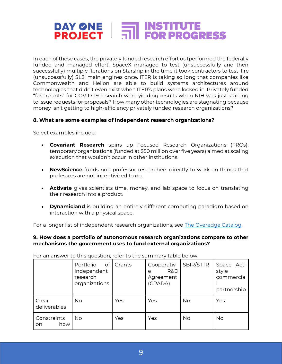# DAY ØNE | MSTITUTE<br>PROJECT | MINIFOR PROGRESS

In each of these cases, the privately funded research effort outperformed the federally funded and managed effort. SpaceX managed to test (unsuccessfully and then successfully) multiple iterations on Starship in the time it took contractors to test-fire (unsuccessfully) SLS' main engines once. ITER is taking so long that companies like Commonwealth and Helion are able to build systems architectures around technologies that didn't even exist when ITER's plans were locked in. Privately funded "fast grants" for COVID-19 research were yielding results when NIH was just starting to issue requests for proposals? How many other technologies are stagnating because money isn't getting to high-efficiency privately funded research organizations?

#### **8. What are some examples of independent research organizations?**

Select examples include:

- **Covariant Research** spins up Focused Research Organizations (FROs): temporary organizations (funded at \$50 million over five years) aimed at scaling execution that wouldn't occur in other institutions.
- **NewScience** funds non-professor researchers directly to work on things that professors are not incentivized to do.
- **Activate** gives scientists time, money, and lab space to focus on translating their research into a product.
- **Dynamicland** is building an entirely different computing paradigm based on interaction with a physical space.

For a longer list of independent research organizations, see [The Overedge Catalog.](https://arbesman.net/overedge/)

#### **9. How does a portfolio of autonomous research organizations compare to other mechanisms the government uses to fund external organizations?**

| TOT all alistrel to this question, refer to the surfilliary table below. |                                                                          |        |                                                |           |                                                 |  |
|--------------------------------------------------------------------------|--------------------------------------------------------------------------|--------|------------------------------------------------|-----------|-------------------------------------------------|--|
|                                                                          | Portfolio<br>of <sub>l</sub><br>independent<br>research<br>organizations | Grants | Cooperativ<br>R&D<br>e<br>Agreement<br>(CRADA) | SBIR/STTR | Space Act-<br>style<br>commercia<br>partnership |  |
| Clear<br>deliverables                                                    | No                                                                       | Yes    | Yes                                            | <b>No</b> | Yes                                             |  |
| Constraints<br>how<br>on.                                                | No                                                                       | Yes    | Yes                                            | <b>No</b> | <b>No</b>                                       |  |

For an answer to this question, refer to the summary table below.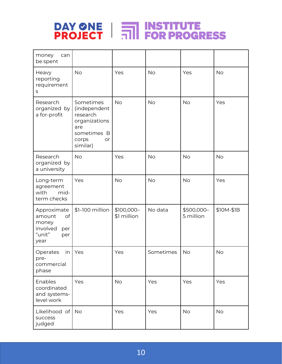

| money<br>can<br>be spent                                                         |                                                                                                         |                           |           |                         |            |
|----------------------------------------------------------------------------------|---------------------------------------------------------------------------------------------------------|---------------------------|-----------|-------------------------|------------|
| Heavy<br>reporting<br>requirement<br>$\sf S$                                     | <b>No</b>                                                                                               | Yes                       | <b>No</b> | Yes                     | <b>No</b>  |
| Research<br>organized by<br>a for-profit                                         | Sometimes<br>(independent<br>research<br>organizations<br>are<br>sometimes B<br>corps<br>or<br>similar) | <b>No</b>                 | <b>No</b> | <b>No</b>               | Yes        |
| Research<br>organized by<br>a university                                         | <b>No</b>                                                                                               | Yes                       | <b>No</b> | <b>No</b>               | <b>No</b>  |
| Long-term<br>agreement<br>mid-<br>with<br>term checks                            | Yes                                                                                                     | <b>No</b>                 | <b>No</b> | <b>No</b>               | Yes        |
| Approximate<br>of<br>amount<br>money<br>involved<br>per<br>"unit"<br>per<br>year | \$1-100 million                                                                                         | \$100,000-<br>\$1 million | No data   | \$500,000-<br>5 million | \$10M-\$1B |
| Operates<br>in<br>pre-<br>commercial<br>phase                                    | Yes                                                                                                     | Yes                       | Sometimes | <b>No</b>               | <b>No</b>  |
| Enables<br>coordinated<br>and systems-<br>level work                             | Yes                                                                                                     | <b>No</b>                 | Yes       | Yes                     | Yes        |
| Likelihood of<br>success<br>judged                                               | <b>No</b>                                                                                               | Yes                       | Yes       | <b>No</b>               | <b>No</b>  |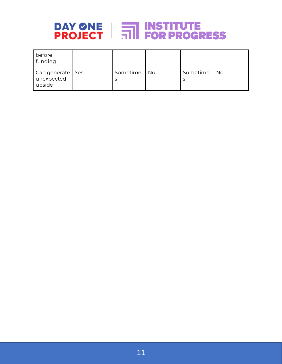

| before<br>funding                          |               |           |          |    |
|--------------------------------------------|---------------|-----------|----------|----|
| Can generate   Yes<br>unexpected<br>upside | Sometime<br>S | <b>No</b> | Sometime | No |